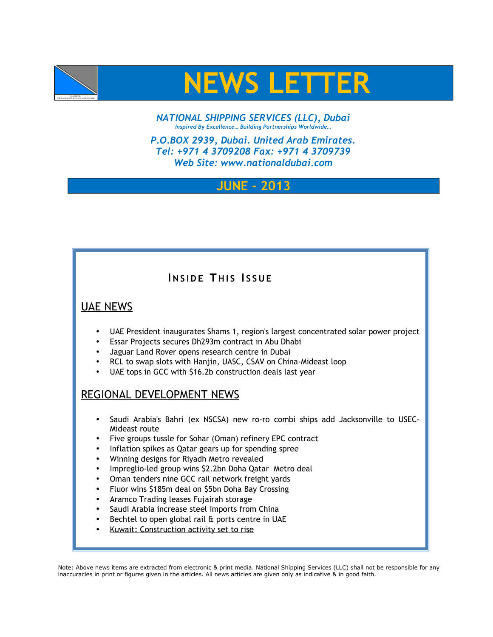



*NATIONAL SHIPPING SERVICES (LLC), Dubai Inspired By Excellence… Building Partnerships Worldwide…*

*P.O.BOX 2939, Dubai. United Arab Emirates. Tel: +971 4 3709208 Fax: +971 4 3709739 Web Site: www.nationaldubai.com*

# **JUNE - 2013**

# **INSIDE THIS ISSUE**

#### UAE NEWS

- UAE President inaugurates Shams 1, region's largest concentrated solar power project
- Essar Projects secures Dh293m contract in Abu Dhabi
- Jaguar Land Rover opens research centre in Dubai
- RCL to swap slots with Hanjin, UASC, CSAV on China-Mideast loop
- UAE tops in GCC with \$16.2b construction deals last year

## REGIONAL DEVELOPMENT NEWS

- Saudi Arabia's Bahri (ex NSCSA) new ro-ro combi ships add Jacksonville to USEC-Mideast route
- Five groups tussle for Sohar (Oman) refinery EPC contract
- Inflation spikes as Qatar gears up for spending spree
- Winning designs for Riyadh Metro revealed
- Impreglio-led group wins \$2.2bn Doha Qatar Metro deal
- Oman tenders nine GCC rail network freight yards
- Fluor wins \$185m deal on \$5bn Doha Bay Crossing
- Aramco Trading leases Fujairah storage
- Saudi Arabia increase steel imports from China
- Bechtel to open global rail & ports centre in UAE
- • [Kuwait: Construction activity set to rise](http://www.english.globalarabnetwork.com/2013050912923/Economics/kuwait-construction-activity-set-to-rise.html)

Note: Above news items are extracted from electronic & print media. National Shipping Services (LLC) shall not be responsible for any inaccuracies in print or figures given in the articles. All news articles are given only as indicative & in good faith.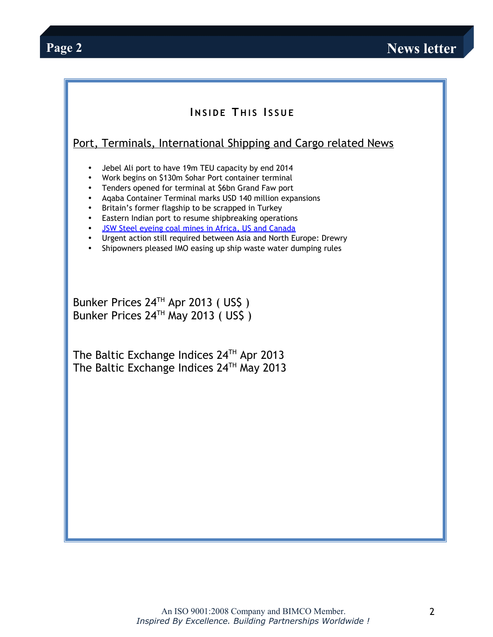### **INSIDE THIS ISSUE**

### Port, Terminals, International Shipping and Cargo related News

- Jebel Ali port to have 19m TEU capacity by end 2014
- Work begins on \$130m Sohar Port container terminal
- Tenders opened for terminal at \$6bn Grand Faw port
- Aqaba Container Terminal marks USD 140 million expansions
- Britain's former flagship to be scrapped in Turkey
- Eastern Indian port to resume shipbreaking operations
- • [JSW Steel eyeing coal mines in Africa, US and Canada](http://coaljunction.in/news/newsdetail/jsw_steel_eyeing_coal_mines_in)
- Urgent action still required between Asia and North Europe: Drewry
- Shipowners pleased IMO easing up ship waste water dumping rules

Bunker Prices 24<sup>TH</sup> Apr 2013 (US\$) Bunker Prices 24<sup>TH</sup> May 2013 (US\$)

The Baltic Exchange Indices  $24<sup>TH</sup>$  Apr 2013 The Baltic Exchange Indices  $24<sup>TH</sup>$  May 2013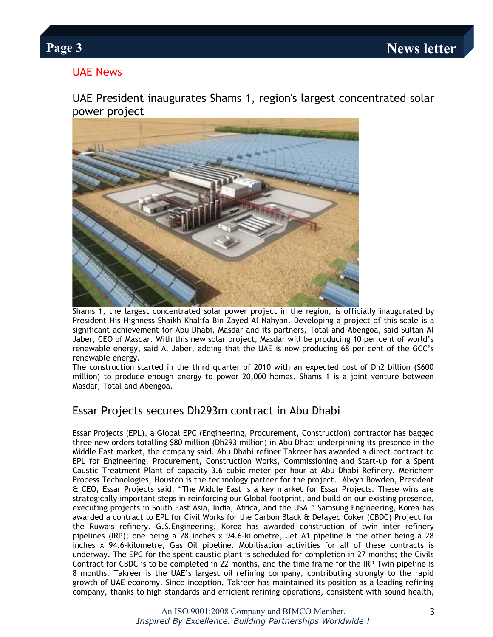### UAE News

UAE President inaugurates Shams 1, region's largest concentrated solar power project



Shams 1, the largest concentrated solar power project in the region, is officially inaugurated by President His Highness Shaikh Khalifa Bin Zayed Al Nahyan. Developing a project of this scale is a significant achievement for Abu Dhabi, Masdar and its partners, Total and Abengoa, said Sultan Al Jaber, CEO of Masdar. With this new solar project, Masdar will be producing 10 per cent of world's renewable energy, said Al Jaber, adding that the UAE is now producing 68 per cent of the GCC's renewable energy.

The construction started in the third quarter of 2010 with an expected cost of Dh2 billion (\$600 million) to produce enough energy to power 20,000 homes. Shams 1 is a joint venture between Masdar, Total and Abengoa.

### Essar Projects secures Dh293m contract in Abu Dhabi

Essar Projects (EPL), a Global EPC (Engineering, Procurement, Construction) contractor has bagged three new orders totalling \$80 million (Dh293 million) in Abu Dhabi underpinning its presence in the Middle East market, the company said. Abu Dhabi refiner Takreer has awarded a direct contract to EPL for Engineering, Procurement, Construction Works, Commissioning and Start-up for a Spent Caustic Treatment Plant of capacity 3.6 cubic meter per hour at Abu Dhabi Refinery. Merichem Process Technologies, Houston is the technology partner for the project. Alwyn Bowden, President & CEO, Essar Projects said, "The Middle East is a key market for Essar Projects. These wins are strategically important steps in reinforcing our Global footprint, and build on our existing presence, executing projects in South East Asia, India, Africa, and the USA." Samsung Engineering, Korea has awarded a contract to EPL for Civil Works for the Carbon Black & Delayed Coker (CBDC) Project for the Ruwais refinery. G.S.Engineering, Korea has awarded construction of twin inter refinery pipelines (IRP); one being a 28 inches x 94.6-kilometre, Jet A1 pipeline & the other being a 28 inches x 94.6-kilometre, Gas Oil pipeline. Mobilisation activities for all of these contracts is underway. The EPC for the spent caustic plant is scheduled for completion in 27 months; the Civils Contract for CBDC is to be completed in 22 months, and the time frame for the IRP Twin pipeline is 8 months. Takreer is the UAE's largest oil refining company, contributing strongly to the rapid growth of UAE economy. Since inception, Takreer has maintained its position as a leading refining company, thanks to high standards and efficient refining operations, consistent with sound health,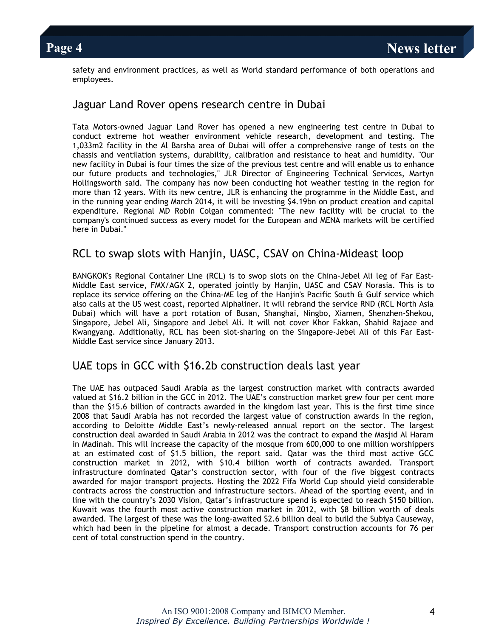safety and environment practices, as well as World standard performance of both operations and employees.

#### Jaguar Land Rover opens research centre in Dubai

Tata Motors-owned Jaguar Land Rover has opened a new engineering test centre in Dubai to conduct extreme hot weather environment vehicle research, development and testing. The 1,033m2 facility in the Al Barsha area of Dubai will offer a comprehensive range of tests on the chassis and ventilation systems, durability, calibration and resistance to heat and humidity. "Our new facility in Dubai is four times the size of the previous test centre and will enable us to enhance our future products and technologies," JLR Director of Engineering Technical Services, Martyn Hollingsworth said. The company has now been conducting hot weather testing in the region for more than 12 years. With its new centre, JLR is enhancing the programme in the Middle East, and in the running year ending March 2014, it will be investing \$4.19bn on product creation and capital expenditure. Regional MD Robin Colgan commented: "The new facility will be crucial to the company's continued success as every model for the European and MENA markets will be certified here in Dubai."

#### RCL to swap slots with Hanjin, UASC, CSAV on China-Mideast loop

BANGKOK's Regional Container Line (RCL) is to swop slots on the China-Jebel Ali leg of Far East-Middle East service, FMX/AGX 2, operated jointly by Hanjin, UASC and CSAV Norasia. This is to replace its service offering on the China-ME leg of the Hanjin's Pacific South & Gulf service which also calls at the US west coast, reported Alphaliner. It will rebrand the service RND (RCL North Asia Dubai) which will have a port rotation of Busan, Shanghai, Ningbo, Xiamen, Shenzhen-Shekou, Singapore, Jebel Ali, Singapore and Jebel Ali. It will not cover Khor Fakkan, Shahid Rajaee and Kwangyang. Additionally, RCL has been slot-sharing on the Singapore-Jebel Ali of this Far East-Middle East service since January 2013.

#### UAE tops in GCC with \$16.2b construction deals last year

The UAE has outpaced Saudi Arabia as the largest construction market with contracts awarded valued at \$16.2 billion in the GCC in 2012. The UAE's construction market grew four per cent more than the \$15.6 billion of contracts awarded in the kingdom last year. This is the first time since 2008 that Saudi Arabia has not recorded the largest value of construction awards in the region, according to Deloitte Middle East's newly-released annual report on the sector. The largest construction deal awarded in Saudi Arabia in 2012 was the contract to expand the Masjid Al Haram in Madinah. This will increase the capacity of the mosque from 600,000 to one million worshippers at an estimated cost of \$1.5 billion, the report said. Qatar was the third most active GCC construction market in 2012, with \$10.4 billion worth of contracts awarded. Transport infrastructure dominated Qatar's construction sector, with four of the five biggest contracts awarded for major transport projects. Hosting the 2022 Fifa World Cup should yield considerable contracts across the construction and infrastructure sectors. Ahead of the sporting event, and in line with the country's 2030 Vision, Qatar's infrastructure spend is expected to reach \$150 billion. Kuwait was the fourth most active construction market in 2012, with \$8 billion worth of deals awarded. The largest of these was the long-awaited \$2.6 billion deal to build the Subiya Causeway, which had been in the pipeline for almost a decade. Transport construction accounts for 76 per cent of total construction spend in the country.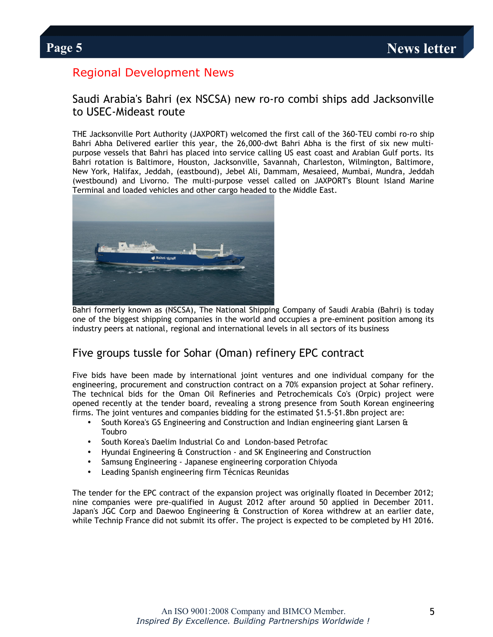## Regional Development News

#### Saudi Arabia's Bahri (ex NSCSA) new ro-ro combi ships add Jacksonville to USEC-Mideast route

THE Jacksonville Port Authority (JAXPORT) welcomed the first call of the 360-TEU combi ro-ro ship Bahri Abha Delivered earlier this year, the 26,000-dwt Bahri Abha is the first of six new multipurpose vessels that Bahri has placed into service calling US east coast and Arabian Gulf ports. Its Bahri rotation is Baltimore, Houston, Jacksonville, Savannah, Charleston, Wilmington, Baltimore, New York, Halifax, Jeddah, (eastbound), Jebel Ali, Dammam, Mesaieed, Mumbai, Mundra, Jeddah (westbound) and Livorno. The multi-purpose vessel called on JAXPORT's Blount Island Marine Terminal and loaded vehicles and other cargo headed to the Middle East.



Bahri formerly known as (NSCSA), The National Shipping Company of Saudi Arabia (Bahri) is today one of the biggest shipping companies in the world and occupies a pre-eminent position among its industry peers at national, regional and international levels in all sectors of its business

#### Five groups tussle for Sohar (Oman) refinery EPC contract

Five bids have been made by international joint ventures and one individual company for the engineering, procurement and construction contract on a 70% expansion project at Sohar refinery. The technical bids for the Oman Oil Refineries and Petrochemicals Co's (Orpic) project were opened recently at the tender board, revealing a strong presence from South Korean engineering firms. The joint ventures and companies bidding for the estimated \$1.5-\$1.8bn project are:

- South Korea's GS Engineering and Construction and Indian engineering giant Larsen & Toubro
- South Korea's Daelim Industrial Co and London-based Petrofac
- Hyundai Engineering & Construction and SK Engineering and Construction
- Samsung Engineering Japanese engineering corporation Chiyoda
- Leading Spanish engineering firm Técnicas Reunidas

The tender for the EPC contract of the expansion project was originally floated in December 2012; nine companies were pre-qualified in August 2012 after around 50 applied in December 2011. Japan's JGC Corp and Daewoo Engineering & Construction of Korea withdrew at an earlier date, while Technip France did not submit its offer. The project is expected to be completed by H1 2016.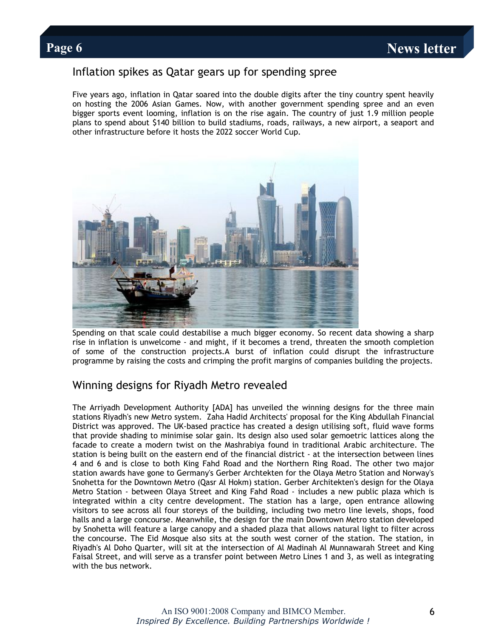#### Inflation spikes as Qatar gears up for spending spree

Five years ago, inflation in Qatar soared into the double digits after the tiny country spent heavily on hosting the 2006 Asian Games. Now, with another government spending spree and an even bigger sports event looming, inflation is on the rise again. The country of just 1.9 million people plans to spend about \$140 billion to build stadiums, roads, railways, a new airport, a seaport and other infrastructure before it hosts the 2022 soccer World Cup.



Spending on that scale could destabilise a much bigger economy. So recent data showing a sharp rise in inflation is unwelcome - and might, if it becomes a trend, threaten the smooth completion of some of the construction projects.A burst of inflation could disrupt the infrastructure programme by raising the costs and crimping the profit margins of companies building the projects.

#### Winning designs for Riyadh Metro revealed

The Arriyadh Development Authority [ADA] has unveiled the winning designs for the three main stations Riyadh's new Metro system. Zaha Hadid Architects' proposal for the King Abdullah Financial District was approved. The UK-based practice has created a design utilising soft, fluid wave forms that provide shading to minimise solar gain. Its design also used solar gemoetric lattices along the facade to create a modern twist on the Mashrabiya found in traditional Arabic architecture. The station is being built on the eastern end of the financial district - at the intersection between lines 4 and 6 and is close to both King Fahd Road and the Northern Ring Road. The other two major station awards have gone to Germany's Gerber Archtekten for the Olaya Metro Station and Norway's Snohetta for the Downtown Metro (Qasr Al Hokm) station. Gerber Architekten's design for the Olaya Metro Station - between Olaya Street and King Fahd Road - includes a new public plaza which is integrated within a city centre development. The station has a large, open entrance allowing visitors to see across all four storeys of the building, including two metro line levels, shops, food halls and a large concourse. Meanwhile, the design for the main Downtown Metro station developed by Snohetta will feature a large canopy and a shaded plaza that allows natural light to filter across the concourse. The Eid Mosque also sits at the south west corner of the station. The station, in Riyadh's Al Doho Quarter, will sit at the intersection of Al Madinah Al Munnawarah Street and King Faisal Street, and will serve as a transfer point between Metro Lines 1 and 3, as well as integrating with the bus network.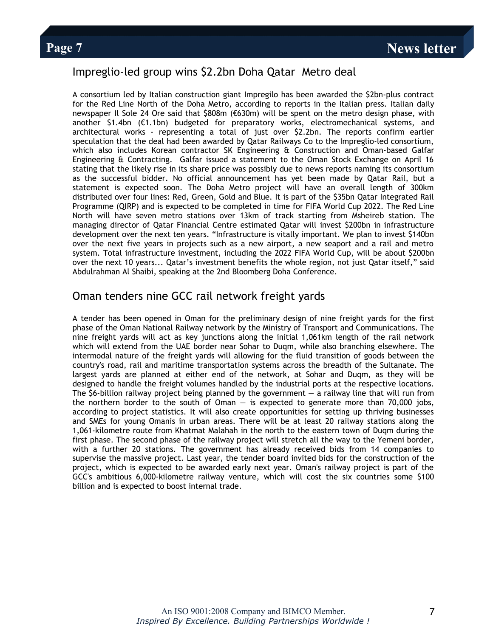### Impreglio-led group wins \$2.2bn Doha Qatar Metro deal

A consortium led by Italian construction giant Impregilo has been awarded the \$2bn-plus contract for the Red Line North of the Doha Metro, according to reports in the Italian press. Italian daily newspaper Il Sole 24 Ore said that \$808m (€630m) will be spent on the metro design phase, with another \$1.4bn (€1.1bn) budgeted for preparatory works, electromechanical systems, and architectural works - representing a total of just over \$2.2bn. The reports confirm earlier speculation that the deal had been awarded by Qatar Railways Co to the Impreglio-led consortium, which also includes Korean contractor SK Engineering & Construction and Oman-based Galfar Engineering & Contracting. Galfar issued a statement to the Oman Stock Exchange on April 16 stating that the likely rise in its share price was possibly due to news reports naming its consortium as the successful bidder. No official announcement has yet been made by Qatar Rail, but a statement is expected soon. The Doha Metro project will have an overall length of 300km distributed over four lines: Red, Green, Gold and Blue. It is part of the \$35bn Qatar Integrated Rail Programme (QIRP) and is expected to be completed in time for FIFA World Cup 2022. The Red Line North will have seven metro stations over 13km of track starting from Msheireb station. The managing director of Qatar Financial Centre estimated Qatar will invest \$200bn in infrastructure development over the next ten years. "Infrastructure is vitally important. We plan to invest \$140bn over the next five years in projects such as a new airport, a new seaport and a rail and metro system. Total infrastructure investment, including the 2022 FIFA World Cup, will be about \$200bn over the next 10 years... Qatar's investment benefits the whole region, not just Qatar itself," said Abdulrahman Al Shaibi, speaking at the 2nd Bloomberg Doha Conference.

#### Oman tenders nine GCC rail network freight yards

A tender has been opened in Oman for the preliminary design of nine freight yards for the first phase of the Oman National Railway network by the Ministry of Transport and Communications. The nine freight yards will act as key junctions along the initial 1,061km length of the rail network which will extend from the UAE border near Sohar to Duqm, while also branching elsewhere. The intermodal nature of the freight yards will allowing for the fluid transition of goods between the country's road, rail and maritime transportation systems across the breadth of the Sultanate. The largest yards are planned at either end of the network, at Sohar and Duqm, as they will be designed to handle the freight volumes handled by the industrial ports at the respective locations. The  $$6$ -billion railway project being planned by the government  $-$  a railway line that will run from the northern border to the south of Oman  $-$  is expected to generate more than 70,000 jobs, according to project statistics. It will also create opportunities for setting up thriving businesses and SMEs for young Omanis in urban areas. There will be at least 20 railway stations along the 1,061-kilometre route from Khatmat Malahah in the north to the eastern town of Duqm during the first phase. The second phase of the railway project will stretch all the way to the Yemeni border, with a further 20 stations. The government has already received bids from 14 companies to supervise the massive project. Last year, the tender board invited bids for the construction of the project, which is expected to be awarded early next year. Oman's railway project is part of the GCC's ambitious 6,000-kilometre railway venture, which will cost the six countries some \$100 billion and is expected to boost internal trade.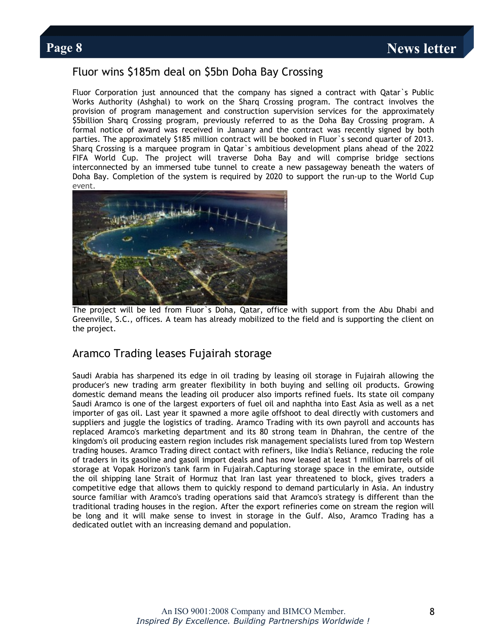### Fluor wins \$185m deal on \$5bn Doha Bay Crossing

Fluor Corporation just announced that the company has signed a contract with Qatar`s Public Works Authority (Ashghal) to work on the Sharq Crossing program. The contract involves the provision of program management and construction supervision services for the approximately \$5billion Sharq Crossing program, previously referred to as the Doha Bay Crossing program. A formal notice of award was received in January and the contract was recently signed by both parties. The approximately \$185 million contract will be booked in Fluor`s second quarter of 2013. Sharq Crossing is a marquee program in Qatar`s ambitious development plans ahead of the 2022 FIFA World Cup. The project will traverse Doha Bay and will comprise bridge sections interconnected by an immersed tube tunnel to create a new passageway beneath the waters of Doha Bay. Completion of the system is required by 2020 to support the run-up to the World Cup event.



The project will be led from Fluor`s Doha, Qatar, office with support from the Abu Dhabi and Greenville, S.C., offices. A team has already mobilized to the field and is supporting the client on the project.

#### Aramco Trading leases Fujairah storage

Saudi Arabia has sharpened its edge in oil trading by leasing oil storage in Fujairah allowing the producer's new trading arm greater flexibility in both buying and selling oil products. Growing domestic demand means the leading oil producer also imports refined fuels. Its state oil company Saudi Aramco is one of the largest exporters of fuel oil and naphtha into East Asia as well as a net importer of gas oil. Last year it spawned a more agile offshoot to deal directly with customers and suppliers and juggle the logistics of trading. Aramco Trading with its own payroll and accounts has replaced Aramco's marketing department and its 80 strong team in Dhahran, the centre of the kingdom's oil producing eastern region includes risk management specialists lured from top Western trading houses. Aramco Trading direct contact with refiners, like India's Reliance, reducing the role of traders in its gasoline and gasoil import deals and has now leased at least 1 million barrels of oil storage at Vopak Horizon's tank farm in Fujairah.Capturing storage space in the emirate, outside the oil shipping lane Strait of Hormuz that Iran last year threatened to block, gives traders a competitive edge that allows them to quickly respond to demand particularly in Asia. An industry source familiar with Aramco's trading operations said that Aramco's strategy is different than the traditional trading houses in the region. After the export refineries come on stream the region will be long and it will make sense to invest in storage in the Gulf. Also, Aramco Trading has a dedicated outlet with an increasing demand and population.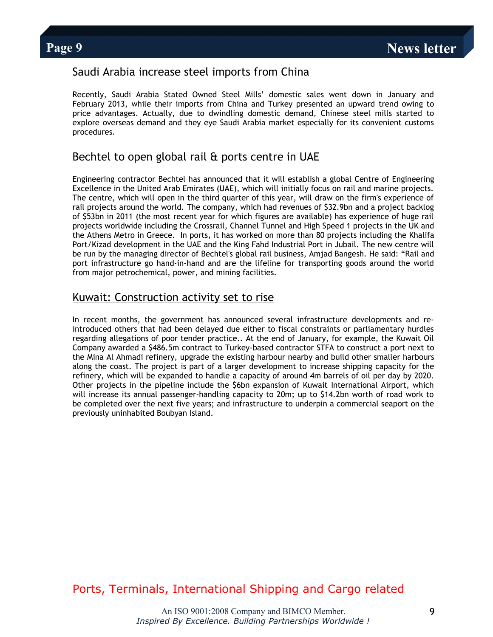#### Saudi Arabia increase steel imports from China

Recently, Saudi Arabia Stated Owned Steel Mills' domestic sales went down in January and February 2013, while their imports from China and Turkey presented an upward trend owing to price advantages. Actually, due to dwindling domestic demand, Chinese steel mills started to explore overseas demand and they eye Saudi Arabia market especially for its convenient customs procedures.

### Bechtel to open global rail & ports centre in UAE

Engineering contractor Bechtel has announced that it will establish a global Centre of Engineering Excellence in the United Arab Emirates (UAE), which will initially focus on rail and marine projects. The centre, which will open in the third quarter of this year, will draw on the firm's experience of rail projects around the world. The company, which had revenues of \$32.9bn and a project backlog of \$53bn in 2011 (the most recent year for which figures are available) has experience of huge rail projects worldwide including the Crossrail, Channel Tunnel and High Speed 1 projects in the UK and the Athens Metro in Greece. In ports, it has worked on more than 80 projects including the Khalifa Port/Kizad development in the UAE and the King Fahd Industrial Port in Jubail. The new centre will be run by the managing director of Bechtel's global rail business, Amjad Bangesh. He said: "Rail and port infrastructure go hand-in-hand and are the lifeline for transporting goods around the world from major petrochemical, power, and mining facilities.

#### [Kuwait: Construction activity set to rise](http://www.english.globalarabnetwork.com/2013050912923/Economics/kuwait-construction-activity-set-to-rise.html)

In recent months, the government has announced several infrastructure developments and reintroduced others that had been delayed due either to fiscal constraints or parliamentary hurdles regarding allegations of poor tender practice.. At the end of January, for example, the Kuwait Oil Company awarded a \$486.5m contract to Turkey-based contractor STFA to construct a port next to the Mina Al Ahmadi refinery, upgrade the existing harbour nearby and build other smaller harbours along the coast. The project is part of a larger development to increase shipping capacity for the refinery, which will be expanded to handle a capacity of around 4m barrels of oil per day by 2020. Other projects in the pipeline include the \$6bn expansion of Kuwait International Airport, which will increase its annual passenger-handling capacity to 20m; up to \$14.2bn worth of road work to be completed over the next five years; and infrastructure to underpin a commercial seaport on the previously uninhabited Boubyan Island.

## Ports, Terminals, International Shipping and Cargo related

An ISO 9001:2008 Company and BIMCO Member. *Inspired By Excellence. Building Partnerships Worldwide !*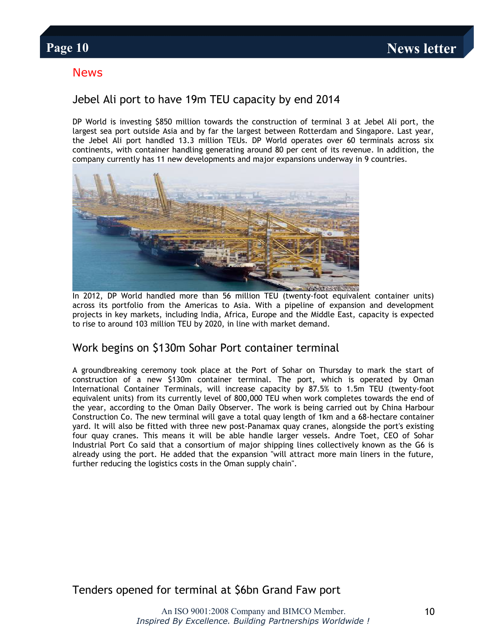#### News

### Jebel Ali port to have 19m TEU capacity by end 2014

DP World is investing \$850 million towards the construction of terminal 3 at Jebel Ali port, the largest sea port outside Asia and by far the largest between Rotterdam and Singapore. Last year, the Jebel Ali port handled 13.3 million TEUs. DP World operates over 60 terminals across six continents, with container handling generating around 80 per cent of its revenue. In addition, the company currently has 11 new developments and major expansions underway in 9 countries.



In 2012, DP World handled more than 56 million TEU (twenty-foot equivalent container units) across its portfolio from the Americas to Asia. With a pipeline of expansion and development projects in key markets, including India, Africa, Europe and the Middle East, capacity is expected to rise to around 103 million TEU by 2020, in line with market demand.

#### Work begins on \$130m Sohar Port container terminal

A groundbreaking ceremony took place at the Port of Sohar on Thursday to mark the start of construction of a new \$130m container terminal. The port, which is operated by Oman International Container Terminals, will increase capacity by 87.5% to 1.5m TEU (twenty-foot equivalent units) from its currently level of 800,000 TEU when work completes towards the end of the year, according to the Oman Daily Observer. The work is being carried out by China Harbour Construction Co. The new terminal will gave a total quay length of 1km and a 68-hectare container yard. It will also be fitted with three new post-Panamax quay cranes, alongside the port's existing four quay cranes. This means it will be able handle larger vessels. Andre Toet, CEO of Sohar Industrial Port Co said that a consortium of major shipping lines collectively known as the G6 is already using the port. He added that the expansion "will attract more main liners in the future, further reducing the logistics costs in the Oman supply chain".

Tenders opened for terminal at \$6bn Grand Faw port

An ISO 9001:2008 Company and BIMCO Member. *Inspired By Excellence. Building Partnerships Worldwide !*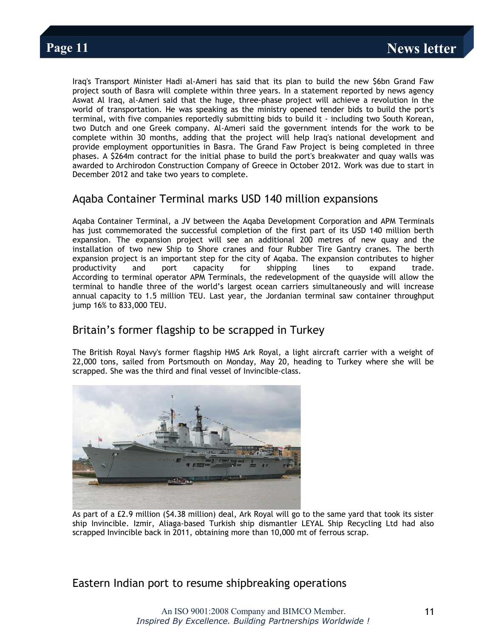Iraq's Transport Minister Hadi al-Ameri has said that its plan to build the new \$6bn Grand Faw project south of Basra will complete within three years. In a statement reported by news agency Aswat Al Iraq, al-Ameri said that the huge, three-phase project will achieve a revolution in the world of transportation. He was speaking as the ministry opened tender bids to build the port's terminal, with five companies reportedly submitting bids to build it - including two South Korean, two Dutch and one Greek company. Al-Ameri said the government intends for the work to be complete within 30 months, adding that the project will help Iraq's national development and provide employment opportunities in Basra. The Grand Faw Project is being completed in three phases. A \$264m contract for the initial phase to build the port's breakwater and quay walls was awarded to Archirodon Construction Company of Greece in October 2012. Work was due to start in December 2012 and take two years to complete.

#### Aqaba Container Terminal marks USD 140 million expansions

Aqaba Container Terminal, a JV between the Aqaba Development Corporation and APM Terminals has just commemorated the successful completion of the first part of its USD 140 million berth expansion. The expansion project will see an additional 200 metres of new quay and the installation of two new Ship to Shore cranes and four Rubber Tire Gantry cranes. The berth expansion project is an important step for the city of Aqaba. The expansion contributes to higher productivity and port capacity for shipping lines to expand trade. According to terminal operator APM Terminals, the redevelopment of the quayside will allow the terminal to handle three of the world's largest ocean carriers simultaneously and will increase annual capacity to 1.5 million TEU. Last year, the Jordanian terminal saw container throughput jump 16% to 833,000 TEU.

#### Britain's former flagship to be scrapped in Turkey

The British Royal Navy's former flagship HMS Ark Royal, a light aircraft carrier with a weight of 22,000 tons, sailed from Portsmouth on Monday, May 20, heading to Turkey where she will be scrapped. She was the third and final vessel of Invincible-class.



As part of a £2.9 million (\$4.38 million) deal, Ark Royal will go to the same yard that took its sister ship Invincible. Izmir, Aliaga-based Turkish ship dismantler LEYAL Ship Recycling Ltd had also scrapped Invincible back in 2011, obtaining more than 10,000 mt of ferrous scrap.

#### Eastern Indian port to resume shipbreaking operations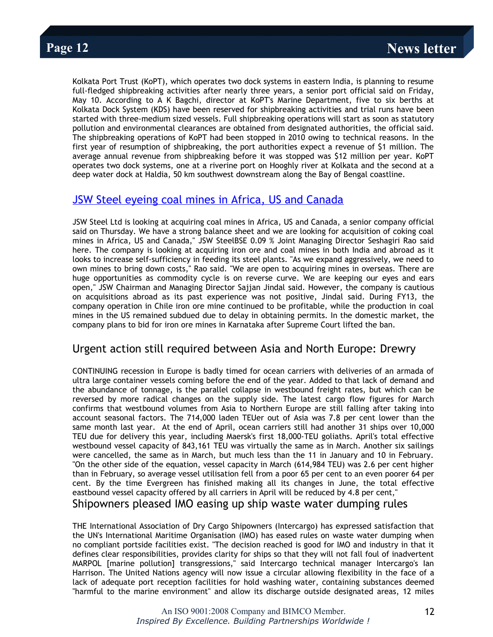Kolkata Port Trust (KoPT), which operates two dock systems in eastern India, is planning to resume full-fledged shipbreaking activities after nearly three years, a senior port official said on Friday, May 10. According to A K Bagchi, director at KoPT's Marine Department, five to six berths at Kolkata Dock System (KDS) have been reserved for shipbreaking activities and trial runs have been started with three-medium sized vessels. Full shipbreaking operations will start as soon as statutory pollution and environmental clearances are obtained from designated authorities, the official said. The shipbreaking operations of KoPT had been stopped in 2010 owing to technical reasons. In the first year of resumption of shipbreaking, the port authorities expect a revenue of \$1 million. The average annual revenue from shipbreaking before it was stopped was \$12 million per year. KoPT operates two dock systems, one at a riverine port on Hooghly river at Kolkata and the second at a deep water dock at Haldia, 50 km southwest downstream along the Bay of Bengal coastline.

#### [JSW Steel eyeing coal mines in Africa, US and Canada](http://coaljunction.in/news/newsdetail/jsw_steel_eyeing_coal_mines_in)

JSW Steel Ltd is looking at acquiring coal mines in Africa, US and Canada, a senior company official said on Thursday. We have a strong balance sheet and we are looking for acquisition of coking coal mines in Africa, US and Canada," JSW SteelBSE 0.09 % Joint Managing Director Seshagiri Rao said here. The company is looking at acquiring iron ore and coal mines in both India and abroad as it looks to increase self-sufficiency in feeding its steel plants. "As we expand aggressively, we need to own mines to bring down costs," Rao said. "We are open to acquiring mines in overseas. There are huge opportunities as commodity cycle is on reverse curve. We are keeping our eyes and ears open," JSW Chairman and Managing Director Sajjan Jindal said. However, the company is cautious on acquisitions abroad as its past experience was not positive, Jindal said. During FY13, the company operation in Chile iron ore mine continued to be profitable, while the production in coal mines in the US remained subdued due to delay in obtaining permits. In the domestic market, the company plans to bid for iron ore mines in Karnataka after Supreme Court lifted the ban.

#### Urgent action still required between Asia and North Europe: Drewry

CONTINUING recession in Europe is badly timed for ocean carriers with deliveries of an armada of ultra large container vessels coming before the end of the year. Added to that lack of demand and the abundance of tonnage, is the parallel collapse in westbound freight rates, but which can be reversed by more radical changes on the supply side. The latest cargo flow figures for March confirms that westbound volumes from Asia to Northern Europe are still falling after taking into account seasonal factors. The 714,000 laden TEUer out of Asia was 7.8 per cent lower than the same month last year. At the end of April, ocean carriers still had another 31 ships over 10,000 TEU due for delivery this year, including Maersk's first 18,000-TEU goliaths. April's total effective westbound vessel capacity of 843,161 TEU was virtually the same as in March. Another six sailings were cancelled, the same as in March, but much less than the 11 in January and 10 in February. "On the other side of the equation, vessel capacity in March (614,984 TEU) was 2.6 per cent higher than in February, so average vessel utilisation fell from a poor 65 per cent to an even poorer 64 per cent. By the time Evergreen has finished making all its changes in June, the total effective eastbound vessel capacity offered by all carriers in April will be reduced by 4.8 per cent,"

Shipowners pleased IMO easing up ship waste water dumping rules

THE International Association of Dry Cargo Shipowners (Intercargo) has expressed satisfaction that the UN's International Maritime Organisation (IMO) has eased rules on waste water dumping when no compliant portside facilities exist. "The decision reached is good for IMO and industry in that it defines clear responsibilities, provides clarity for ships so that they will not fall foul of inadvertent MARPOL [marine pollution] transgressions," said Intercargo technical manager Intercargo's Ian Harrison. The United Nations agency will now issue a circular allowing flexibility in the face of a lack of adequate port reception facilities for hold washing water, containing substances deemed "harmful to the marine environment" and allow its discharge outside designated areas, 12 miles